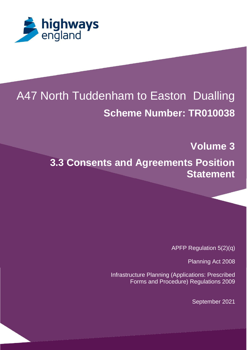

# A47 North Tuddenham to Easton Dualling **Scheme Number: TR010038**

**Volume 3**

**3.3 Consents and Agreements Position Statement**

APFP Regulation 5(2)(q)

Planning Act 2008

Infrastructure Planning (Applications: Prescribed Forms and Procedure) Regulations 2009

September 2021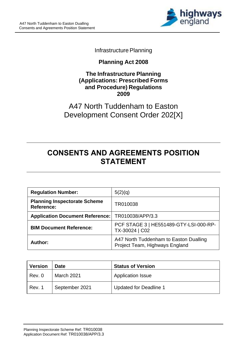

**Infrastructure Planning** 

## **Planning Act 2008**

#### **The Infrastructure Planning (Applications: Prescribed Forms and Procedure) Regulations 2009**

A47 North Tuddenham to Easton Development Consent Order 202[X]

## **CONSENTS AND AGREEMENTS POSITION STATEMENT**

| <b>Regulation Number:</b>                                | 5(2)(q)                                                                  |
|----------------------------------------------------------|--------------------------------------------------------------------------|
| <b>Planning Inspectorate Scheme</b><br><b>Reference:</b> | TR010038                                                                 |
| Application Document Reference:   TR010038/APP/3.3       |                                                                          |
| <b>BIM Document Reference:</b>                           | PCF STAGE 3   HE551489-GTY-LSI-000-RP-<br>TX-30024   C02                 |
| Author:                                                  | A47 North Tuddenham to Easton Dualling<br>Project Team, Highways England |

| <b>Version</b> | <b>Date</b>    | <b>Status of Version</b>      |
|----------------|----------------|-------------------------------|
| l Rev. 0       | March 2021     | <b>Application Issue</b>      |
| Rev. 1         | September 2021 | <b>Updated for Deadline 1</b> |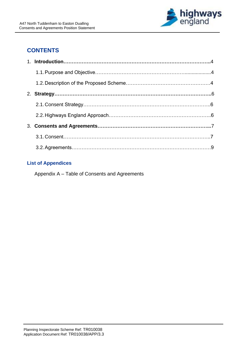

## **CONTENTS**

#### **List of Appendices**

Appendix A – Table of Consents and Agreements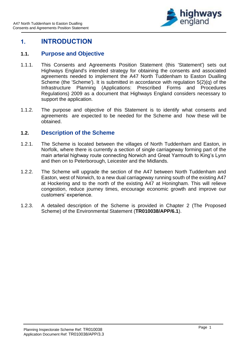

## **1. INTRODUCTION**

#### **1.1. Purpose and Objective**

- 1.1.1. This Consents and Agreements Position Statement (this 'Statement') sets out Highways England's intended strategy for obtaining the consents and associated agreements needed to implement the A47 North Tuddenham to Easton Dualling Scheme (the 'Scheme'). It is submitted in accordance with regulation 5(2)(q) of the Infrastructure Planning (Applications: Prescribed Forms and Procedures Regulations) 2009 as a document that Highways England considers necessary to support the application.
- 1.1.2. The purpose and objective of this Statement is to identify what consents and agreements are expected to be needed for the Scheme and how these will be obtained.

#### **1.2. Description of the Scheme**

- 1.2.1. The Scheme is located between the villages of North Tuddenham and Easton, in Norfolk, where there is currently a section of single carriageway forming part of the main arterial highway route connecting Norwich and Great Yarmouth to King's Lynn and then on to Peterborough, Leicester and the Midlands.
- 1.2.2. The Scheme will upgrade the section of the A47 between North Tuddenham and Easton, west of Norwich, to a new dual carriageway running south of the existing A47 at Hockering and to the north of the existing A47 at Honingham. This will relieve congestion, reduce journey times, encourage economic growth and improve our customers' experience.
- 1.2.3. A detailed description of the Scheme is provided in Chapter 2 (The Proposed Scheme) of the Environmental Statement (**TR010038/APP/6.1**).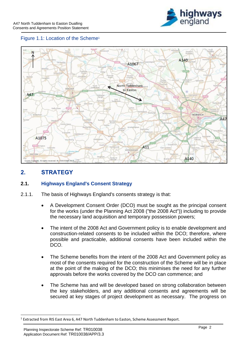

#### Figure 1.1: Location of the Scheme<sup>1</sup>



## **2. STRATEGY**

#### **2.1. Highways England's Consent Strategy**

- 2.1.1. The basis of Highways England's consents strategy is that:
	- A Development Consent Order (DCO) must be sought as the principal consent for the works (under the Planning Act 2008 ("the 2008 Act")) including to provide the necessary land acquisition and temporary possession powers;
	- The intent of the 2008 Act and Government policy is to enable development and construction-related consents to be included within the DCO; therefore, where possible and practicable, additional consents have been included within the DCO.
	- The Scheme benefits from the intent of the 2008 Act and Government policy as most of the consents required for the construction of the Scheme will be in place at the point of the making of the DCO; this minimises the need for any further approvals before the works covered by the DCO can commence; and
	- The Scheme has and will be developed based on strong collaboration between the key stakeholders, and any additional consents and agreements will be secured at key stages of project development as necessary. The progress on

<sup>&</sup>lt;sup>1</sup> Extracted from RIS East Area 6, A47 North Tuddenham to Easton, Scheme Assessment Report.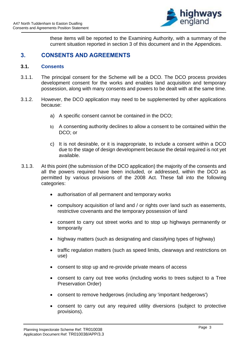

these items will be reported to the Examining Authority, with a summary of the current situation reported in section 3 of this document and in the Appendices.

#### **3. CONSENTS AND AGREEMENTS**

#### **3.1. Consents**

- 3.1.1. The principal consent for the Scheme will be a DCO. The DCO process provides development consent for the works and enables land acquisition and temporary possession, along with many consents and powers to be dealt with at the same time.
- 3.1.2. However, the DCO application may need to be supplemented by other applications because:
	- a) A specific consent cannot be contained in the DCO;
	- b) A consenting authority declines to allow a consent to be contained within the DCO; or
	- c) It is not desirable, or it is inappropriate, to include a consent within a DCO due to the stage of design development because the detail required is not yet available.
- 3.1.3. At this point (the submission of the DCO application) the majority of the consents and all the powers required have been included, or addressed, within the DCO as permitted by various provisions of the 2008 Act. These fall into the following categories:
	- authorisation of all permanent and temporary works
	- compulsory acquisition of land and / or rights over land such as easements, restrictive covenants and the temporary possession of land
	- consent to carry out street works and to stop up highways permanently or temporarily
	- highway matters (such as designating and classifying types of highway)
	- traffic regulation matters (such as speed limits, clearways and restrictions on use)
	- consent to stop up and re-provide private means of access
	- consent to carry out tree works (including works to trees subject to a Tree Preservation Order)
	- consent to remove hedgerows (including any 'important hedgerows')
	- consent to carry out any required utility diversions (subject to protective provisions).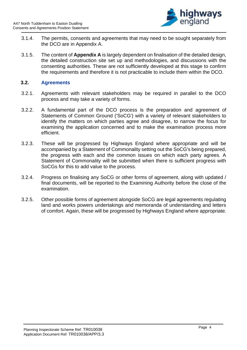

- 3.1.4. The permits, consents and agreements that may need to be sought separately from the DCO are in Appendix A.
- 3.1.5. The content of **Appendix A** is largely dependent on finalisation of the detailed design, the detailed construction site set up and methodologies, and discussions with the consenting authorities. These are not sufficiently developed at this stage to confirm the requirements and therefore it is not practicable to include them within the DCO.

#### **3.2. Agreements**

- 3.2.1. Agreements with relevant stakeholders may be required in parallel to the DCO process and may take a variety of forms.
- 3.2.2. A fundamental part of the DCO process is the preparation and agreement of Statements of Common Ground ('SoCG') with a variety of relevant stakeholders to identify the matters on which parties agree and disagree, to narrow the focus for examining the application concerned and to make the examination process more efficient.
- 3.2.3. These will be progressed by Highways England where appropriate and will be accompanied by a Statement of Commonality setting out the SoCG's being prepared, the progress with each and the common issues on which each party agrees. A Statement of Commonality will be submitted when there is sufficient progress with SoCGs for this to add value to the process.
- 3.2.4. Progress on finalising any SoCG or other forms of agreement, along with updated / final documents, will be reported to the Examining Authority before the close of the examination.
- 3.2.5. Other possible forms of agreement alongside SoCG are legal agreements regulating land and works powers undertakings and memoranda of understanding and letters of comfort. Again, these will be progressed by Highways England where appropriate.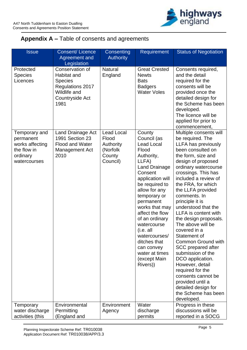

### **Appendix A –** Table of consents and agreements

| <b>Issue</b>                                                                             | Consent/Licence<br>Agreement and                                                                                       | Consenting<br><b>Authority</b>                                            | <b>Requirement</b>                                                                                                                                                                                                                                                                                                                                                                | <b>Status of Negotiation</b>                                                                                                                                                                                                                                                                                                                                                                                                                                                                                                                                                                                                                           |
|------------------------------------------------------------------------------------------|------------------------------------------------------------------------------------------------------------------------|---------------------------------------------------------------------------|-----------------------------------------------------------------------------------------------------------------------------------------------------------------------------------------------------------------------------------------------------------------------------------------------------------------------------------------------------------------------------------|--------------------------------------------------------------------------------------------------------------------------------------------------------------------------------------------------------------------------------------------------------------------------------------------------------------------------------------------------------------------------------------------------------------------------------------------------------------------------------------------------------------------------------------------------------------------------------------------------------------------------------------------------------|
|                                                                                          | Legislation                                                                                                            |                                                                           |                                                                                                                                                                                                                                                                                                                                                                                   |                                                                                                                                                                                                                                                                                                                                                                                                                                                                                                                                                                                                                                                        |
| Protected<br><b>Species</b><br>Licences                                                  | Conservation of<br><b>Habitat and</b><br><b>Species</b><br>Regulations 2017<br>Wildlife and<br>Countryside Act<br>1981 | <b>Natural</b><br>England                                                 | <b>Great Crested</b><br><b>Newts</b><br><b>Bats</b><br><b>Badgers</b><br><b>Water Voles</b>                                                                                                                                                                                                                                                                                       | Consents required,<br>and the detail<br>required for the<br>consents will be<br>provided once the<br>detailed design for<br>the Scheme has been<br>developed.<br>The licence will be<br>applied for prior to<br>commencement,                                                                                                                                                                                                                                                                                                                                                                                                                          |
| Temporary and<br>permanent<br>works affecting<br>the flow in<br>ordinary<br>watercourses | <b>Land Drainage Act</b><br>1991 Section 23<br><b>Flood and Water</b><br>Management Act<br>2010                        | <b>Lead Local</b><br>Flood<br>Authority<br>(Norfolk<br>County<br>Council) | County<br>Council (as<br><b>Lead Local</b><br>Flood<br>Authority,<br>LLFA)<br><b>Land Drainage</b><br>Consent<br>application will<br>be required to<br>allow for any<br>temporary or<br>permanent<br>works that may<br>affect the flow<br>of an ordinary<br>watercourse<br>(i.e. all<br>watercourses/<br>ditches that<br>can convey<br>water at times<br>(except Main<br>Rivers)) | Multiple consents will<br>be required. The<br>LLFA has previously<br>been consulted on<br>the form, size and<br>design of proposed<br>ordinary watercourse<br>crossings. This has<br>included a review of<br>the FRA, for which<br>the LLFA provided<br>comments. In<br>principle it is<br>understood that the<br>LLFA is content with<br>the design proposals.<br>The above will be<br>covered in a<br>Statement of<br>Common Ground with<br>SCC prepared after<br>submission of the<br>DCO application.<br>However, detail<br>required for the<br>consents cannot be<br>provided until a<br>detailed design for<br>the Scheme has been<br>developed. |
| Temporary<br>water discharge<br>activities (this                                         | Environmental<br>Permitting<br>(England and                                                                            | Environment<br>Agency                                                     | Water<br>discharge<br>permits                                                                                                                                                                                                                                                                                                                                                     | Progress in these<br>discussions will be<br>reported in a SOCG                                                                                                                                                                                                                                                                                                                                                                                                                                                                                                                                                                                         |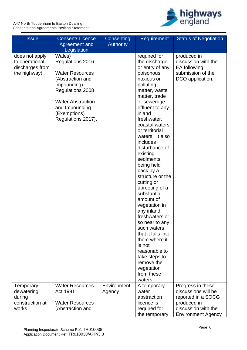

| <b>Issue</b>                                                        | Consent/ Licence<br>Agreement and                                                                                                                                                               | Consenting<br><b>Authority</b> | <b>Requirement</b>                                                                                                                                                                                                                                                                                                                                                                                                                                                                                                                                                                                                                       | <b>Status of Negotiation</b>                                                                                                      |
|---------------------------------------------------------------------|-------------------------------------------------------------------------------------------------------------------------------------------------------------------------------------------------|--------------------------------|------------------------------------------------------------------------------------------------------------------------------------------------------------------------------------------------------------------------------------------------------------------------------------------------------------------------------------------------------------------------------------------------------------------------------------------------------------------------------------------------------------------------------------------------------------------------------------------------------------------------------------------|-----------------------------------------------------------------------------------------------------------------------------------|
|                                                                     | Legislation                                                                                                                                                                                     |                                |                                                                                                                                                                                                                                                                                                                                                                                                                                                                                                                                                                                                                                          |                                                                                                                                   |
| does not apply<br>to operational<br>discharges from<br>the highway) | Wales)<br>Regulations 2016<br><b>Water Resources</b><br>(Abstraction and<br>Impounding)<br>Regulations 2008<br><b>Water Abstraction</b><br>and Impounding<br>(Exemptions)<br>Regulations 2017). |                                | required for<br>the discharge<br>or entry of any<br>poisonous,<br>noxious or<br>polluting<br>matter, waste<br>matter, trade<br>or sewerage<br>effluent to any<br>inland<br>freshwater,<br>coastal waters<br>or territorial<br>waters. It also<br>includes<br>disturbance of<br>existing<br>sediments<br>being held<br>back by a<br>structure or the<br>cutting or<br>uprooting of a<br>substantial<br>amount of<br>vegetation in<br>any inland<br>freshwaters or<br>so near to any<br>such waters<br>that it falls into<br>them where it<br>is not<br>reasonable to<br>take steps to<br>remove the<br>vegetation<br>from these<br>waters | produced in<br>discussion with the<br>EA following<br>submission of the<br>DCO application.                                       |
| Temporary<br>dewatering<br>during<br>construction at<br>works       | <b>Water Resources</b><br>Act 1991<br><b>Water Resources</b><br>(Abstraction and                                                                                                                | Environment<br>Agency          | A temporary<br>water<br>abstraction<br>licence is<br>required for<br>the temporary                                                                                                                                                                                                                                                                                                                                                                                                                                                                                                                                                       | Progress in these<br>discussions will be<br>reported in a SOCG<br>produced in<br>discussion with the<br><b>Environment Agency</b> |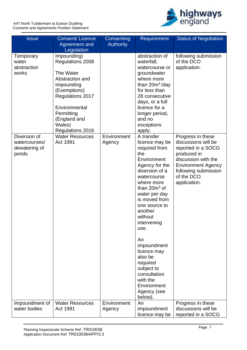

| <b>Issue</b>                                            | Consent/Licence<br>Agreement and<br>Legislation                                                                                                                                                | Consenting<br><b>Authority</b> | <b>Requirement</b>                                                                                                                                                                                                                                                                                                                                                                                    | <b>Status of Negotiation</b>                                                                                                                                                            |
|---------------------------------------------------------|------------------------------------------------------------------------------------------------------------------------------------------------------------------------------------------------|--------------------------------|-------------------------------------------------------------------------------------------------------------------------------------------------------------------------------------------------------------------------------------------------------------------------------------------------------------------------------------------------------------------------------------------------------|-----------------------------------------------------------------------------------------------------------------------------------------------------------------------------------------|
| Temporary<br>water<br>abstraction<br>works              | Impounding)<br>Regulations 2008<br>The Water<br>Abstraction and<br>Impounding<br>(Exemptions)<br>Regulations 2017<br>Environmental<br>Permitting<br>(England and<br>Wales)<br>Regulations 2016 |                                | abstraction of<br>waterfall,<br>watercourse or<br>groundwater<br>where more<br>than $20m^3$ /day<br>for less than<br>28 consecutive<br>days, or a full<br>licence for a<br>longer period,<br>and no<br>exceptions<br>apply.                                                                                                                                                                           | following submission<br>of the DCO<br>application.                                                                                                                                      |
| Diversion of<br>watercourses/<br>dewatering of<br>ponds | <b>Water Resources</b><br>Act 1991                                                                                                                                                             | Environment<br>Agency          | A transfer<br>licence may be<br>required from<br>the<br>Environment<br>Agency for the<br>diversion of a<br>watercourse<br>where more<br>than $20m^3$ of<br>water per day<br>is moved from<br>one source to<br>another<br>without<br>intervening<br>use.<br>An<br>impoundment<br>licence may<br>also be<br>required<br>subject to<br>consultation<br>with the<br>Environment<br>Agency (see<br>below). | Progress in these<br>discussions will be<br>reported in a SOCG<br>produced in<br>discussion with the<br><b>Environment Agency</b><br>following submission<br>of the DCO<br>application. |
| Impoundment of<br>water bodies                          | <b>Water Resources</b><br>Act 1991                                                                                                                                                             | Environment<br>Agency          | An<br>impoundment<br>licence may be                                                                                                                                                                                                                                                                                                                                                                   | Progress in these<br>discussions will be<br>reported in a SOCG                                                                                                                          |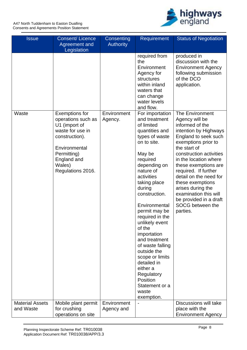A47 North Tuddenham to Easton Dualling Consents and Agreements Position Statement



| <b>Issue</b>                        | Consent/ Licence<br>Agreement and                                                                                                                       | Consenting<br><b>Authority</b> | <b>Requirement</b>                                                                                                                                                                                                                                                                                                                                                                                                                                              | <b>Status of Negotiation</b>                                                                                                                                                                                                                                                                                                                                                        |
|-------------------------------------|---------------------------------------------------------------------------------------------------------------------------------------------------------|--------------------------------|-----------------------------------------------------------------------------------------------------------------------------------------------------------------------------------------------------------------------------------------------------------------------------------------------------------------------------------------------------------------------------------------------------------------------------------------------------------------|-------------------------------------------------------------------------------------------------------------------------------------------------------------------------------------------------------------------------------------------------------------------------------------------------------------------------------------------------------------------------------------|
| Waste                               | Legislation<br><b>Exemptions for</b>                                                                                                                    | Environment                    | required from<br>the<br>Environment<br>Agency for<br>structures<br>within inland<br>waters that<br>can change<br>water levels<br>and flow.<br>For importation                                                                                                                                                                                                                                                                                                   | produced in<br>discussion with the<br><b>Environment Agency</b><br>following submission<br>of the DCO<br>application.<br><b>The Environment</b>                                                                                                                                                                                                                                     |
|                                     | operations such as<br>U1 (import of<br>waste for use in<br>construction).<br>Environmental<br>Permitting)<br>England and<br>Wales)<br>Regulations 2016. | Agency.                        | and treatment<br>of limited<br>quantities and<br>types of waste<br>on to site.<br>May be<br>required<br>depending on<br>nature of<br>activities<br>taking place<br>during<br>construction.<br>Environmental<br>permit may be<br>required in the<br>unlikely event<br>of the<br>importation<br>and treatment<br>of waste falling<br>outside the<br>scope or limits<br>detailed in<br>either a<br>Regulatory<br>Position<br>Statement or a<br>waste<br>exemption. | Agency will be<br>informed of the<br>intention by Highways<br>England to seek such<br>exemptions prior to<br>the start of<br>construction activities<br>in the location where<br>these exemptions are<br>required. If further<br>detail on the need for<br>these exemptions<br>arises during the<br>examination this will<br>be provided in a draft<br>SOCG between the<br>parties. |
| <b>Material Assets</b><br>and Waste | Mobile plant permit<br>for crushing<br>operations on site                                                                                               | Environment<br>Agency and      |                                                                                                                                                                                                                                                                                                                                                                                                                                                                 | Discussions will take<br>place with the<br><b>Environment Agency</b>                                                                                                                                                                                                                                                                                                                |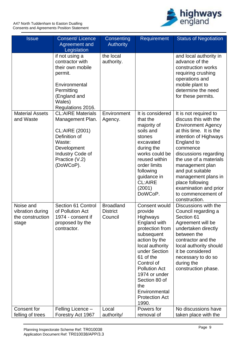

| <b>Issue</b>                                               | <b>Consent/Licence</b><br>Agreement and<br>Legislation                                                                                                      | <b>Consenting</b><br><b>Authority</b>          | <b>Requirement</b>                                                                                                                                                                                                                                                                               | <b>Status of Negotiation</b>                                                                                                                                                                                                                                                                                                                                  |
|------------------------------------------------------------|-------------------------------------------------------------------------------------------------------------------------------------------------------------|------------------------------------------------|--------------------------------------------------------------------------------------------------------------------------------------------------------------------------------------------------------------------------------------------------------------------------------------------------|---------------------------------------------------------------------------------------------------------------------------------------------------------------------------------------------------------------------------------------------------------------------------------------------------------------------------------------------------------------|
|                                                            | if not using a<br>contractor with<br>their own mobile<br>permit.<br>Environmental<br>Permitting<br>(England and<br>Wales)<br>Regulations 2016.              | the local<br>authority.                        |                                                                                                                                                                                                                                                                                                  | and local authority in<br>advance of the<br>construction works<br>requiring crushing<br>operations and<br>mobile plant to<br>determine the need<br>for these permits.                                                                                                                                                                                         |
| <b>Material Assets</b><br>and Waste                        | <b>CL:AIRE Materials</b><br>Management Plan.<br>CL:AIRE (2001)<br>Definition of<br>Waste:<br>Development<br>Industry Code of<br>Practice (V.2)<br>(DoWCoP). | Environment<br>Agency.                         | It is considered<br>that the<br>majority of<br>soils and<br>stones<br>excavated<br>during the<br>works could be<br>reused within<br>order limits<br>following<br>guidance in<br><b>CL:AIRE</b><br>(2001)<br>DoWCoP.                                                                              | It is not required to<br>discuss this with the<br><b>Environment Agency</b><br>at this time. It is the<br>intention of Highways<br>England to<br>commence<br>discussions regarding<br>the use of a materials<br>management plan<br>and put suitable<br>management plans in<br>place following<br>examination and prior<br>to commencement of<br>construction. |
| Noise and<br>vibration during<br>the construction<br>stage | Section 61 Control<br>of Pollution Act<br>1974 - consent if<br>proposed by the<br>contractor.                                                               | <b>Broadland</b><br><b>District</b><br>Council | Consent would<br>provide<br><b>Highways</b><br>England with<br>protection from<br>subsequent<br>action by the<br>local authority<br>under Section<br>61 of the<br>Control of<br><b>Pollution Act</b><br>1974 or under<br>Section 80 of<br>the<br>Environmental<br><b>Protection Act</b><br>1990. | Discussions with the<br>Council regarding a<br>Section 61<br>Agreement will be<br>undertaken directly<br>between the<br>contractor and the<br>local authority should<br>it be considered<br>necessary to do so<br>during the<br>construction phase.                                                                                                           |
| Consent for<br>felling of trees                            | Felling Licence -<br>Forestry Act 1967                                                                                                                      | Local<br>authority/                            | Powers for<br>removal of                                                                                                                                                                                                                                                                         | No discussions have<br>taken place with the                                                                                                                                                                                                                                                                                                                   |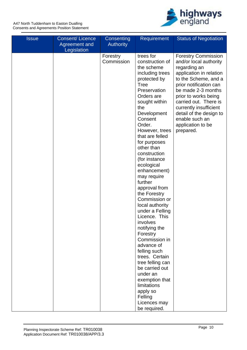

| <b>Issue</b> | <b>Consent/Licence</b><br>Agreement and | Consenting<br><b>Authority</b> | <b>Requirement</b>                 | <b>Status of Negotiation</b>                    |
|--------------|-----------------------------------------|--------------------------------|------------------------------------|-------------------------------------------------|
|              | Legislation                             |                                |                                    |                                                 |
|              |                                         | Forestry                       | trees for                          | <b>Forestry Commission</b>                      |
|              |                                         | Commission                     | construction of                    | and/or local authority                          |
|              |                                         |                                | the scheme                         | regarding an                                    |
|              |                                         |                                | including trees<br>protected by    | application in relation<br>to the Scheme, and a |
|              |                                         |                                | Tree                               | prior notification can                          |
|              |                                         |                                | Preservation                       | be made 2-3 months                              |
|              |                                         |                                | Orders are                         | prior to works being                            |
|              |                                         |                                | sought within                      | carried out. There is                           |
|              |                                         |                                | the                                | currently insufficient                          |
|              |                                         |                                | Development                        | detail of the design to                         |
|              |                                         |                                | Consent                            | enable such an                                  |
|              |                                         |                                | Order.                             | application to be                               |
|              |                                         |                                | However, trees                     | prepared.                                       |
|              |                                         |                                | that are felled                    |                                                 |
|              |                                         |                                | for purposes                       |                                                 |
|              |                                         |                                | other than                         |                                                 |
|              |                                         |                                | construction                       |                                                 |
|              |                                         |                                | (for instance                      |                                                 |
|              |                                         |                                | ecological                         |                                                 |
|              |                                         |                                | enhancement)                       |                                                 |
|              |                                         |                                | may require                        |                                                 |
|              |                                         |                                | further                            |                                                 |
|              |                                         |                                | approval from                      |                                                 |
|              |                                         |                                | the Forestry                       |                                                 |
|              |                                         |                                | Commission or                      |                                                 |
|              |                                         |                                | local authority<br>under a Felling |                                                 |
|              |                                         |                                | Licence. This                      |                                                 |
|              |                                         |                                | involves                           |                                                 |
|              |                                         |                                | notifying the                      |                                                 |
|              |                                         |                                | Forestry                           |                                                 |
|              |                                         |                                | Commission in                      |                                                 |
|              |                                         |                                | advance of                         |                                                 |
|              |                                         |                                | felling such                       |                                                 |
|              |                                         |                                | trees. Certain                     |                                                 |
|              |                                         |                                | tree felling can                   |                                                 |
|              |                                         |                                | be carried out                     |                                                 |
|              |                                         |                                | under an                           |                                                 |
|              |                                         |                                | exemption that                     |                                                 |
|              |                                         |                                | limitations                        |                                                 |
|              |                                         |                                | apply so                           |                                                 |
|              |                                         |                                | Felling<br>Licences may            |                                                 |
|              |                                         |                                | be required.                       |                                                 |